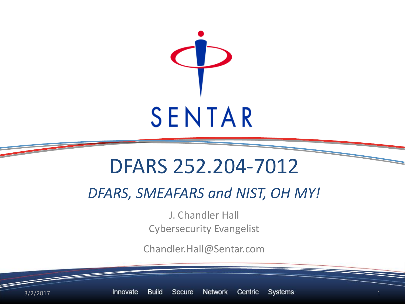

## DFARS 252.204-7012

*DFARS, SMEAFARS and NIST, OH MY!*

J. Chandler Hall Cybersecurity Evangelist

Chandler.Hall@Sentar.com

 $3/2/2017$  Innovate Build Secure Network Centric Systems  $1$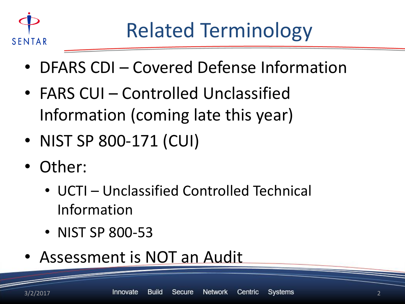

- DFARS CDI Covered Defense Information
- FARS CUI Controlled Unclassified Information (coming late this year)
- NIST SP 800-171 (CUI)
- Other:
	- UCTI Unclassified Controlled Technical Information
	- NIST SP 800-53
- Assessment is NOT an Audit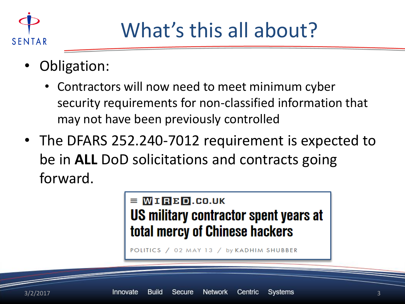

## What's this all about?

- Obligation:
	- Contractors will now need to meet minimum cyber security requirements for non-classified information that may not have been previously controlled
- The DFARS 252.240-7012 requirement is expected to be in **ALL** DoD solicitations and contracts going forward.



POLITICS / 02 MAY 13 / by KADHIM SHUBBER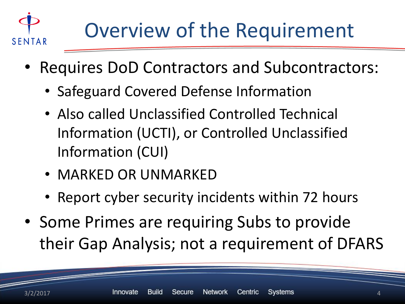

- Requires DoD Contractors and Subcontractors:
	- Safeguard Covered Defense Information
	- Also called Unclassified Controlled Technical Information (UCTI), or Controlled Unclassified Information (CUI)
	- MARKED OR UNMARKED
	- Report cyber security incidents within 72 hours
- Some Primes are requiring Subs to provide their Gap Analysis; not a requirement of DFARS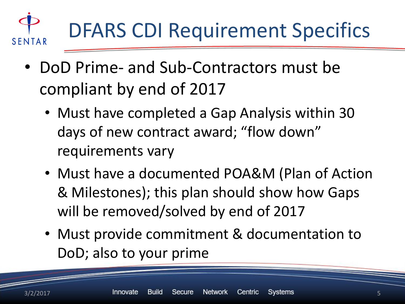

- DoD Prime- and Sub-Contractors must be compliant by end of 2017
	- Must have completed a Gap Analysis within 30 days of new contract award; "flow down" requirements vary
	- Must have a documented POA&M (Plan of Action & Milestones); this plan should show how Gaps will be removed/solved by end of 2017
	- Must provide commitment & documentation to DoD; also to your prime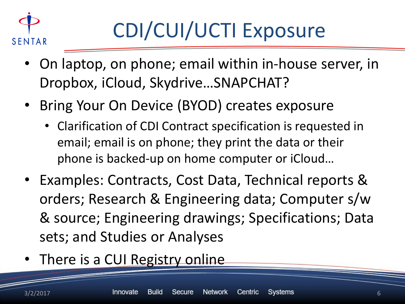

- On laptop, on phone; email within in-house server, in Dropbox, iCloud, Skydrive…SNAPCHAT?
- Bring Your On Device (BYOD) creates exposure
	- Clarification of CDI Contract specification is requested in email; email is on phone; they print the data or their phone is backed-up on home computer or iCloud…
- Examples: Contracts, Cost Data, Technical reports & orders; Research & Engineering data; Computer s/w & source; Engineering drawings; Specifications; Data sets; and Studies or Analyses
- There is a CUI Registry online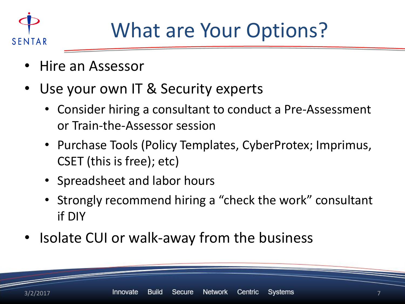

## What are Your Options?

- Hire an Assessor
- Use your own IT & Security experts
	- Consider hiring a consultant to conduct a Pre-Assessment or Train-the-Assessor session
	- Purchase Tools (Policy Templates, CyberProtex; Imprimus, CSET (this is free); etc)
	- Spreadsheet and labor hours
	- Strongly recommend hiring a "check the work" consultant if DIY
- Isolate CUI or walk-away from the business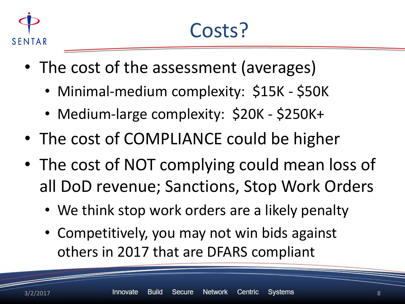

- The cost of the assessment (averages)
	- Minimal-medium complexity: \$15K \$50K
	- Medium-large complexity: \$20K \$250K+
- The cost of COMPLIANCE could be higher
- The cost of NOT complying could mean loss of all DoD revenue; Sanctions, Stop Work Orders
	- We think stop work orders are a likely penalty
	- Competitively, you may not win bids against others in 2017 that are DFARS compliant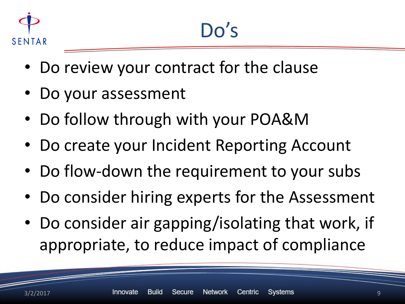

- Do review your contract for the clause
- Do your assessment
- Do follow through with your POA&M
- Do create your Incident Reporting Account
- Do flow-down the requirement to your subs
- Do consider hiring experts for the Assessment
- Do consider air gapping/isolating that work, if appropriate, to reduce impact of compliance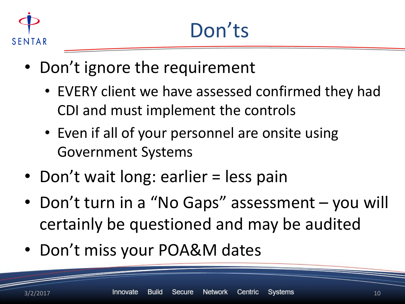

- Don't ignore the requirement
	- EVERY client we have assessed confirmed they had CDI and must implement the controls
	- Even if all of your personnel are onsite using Government Systems
- Don't wait long: earlier = less pain
- Don't turn in a "No Gaps" assessment you will certainly be questioned and may be audited
- Don't miss your POA&M dates